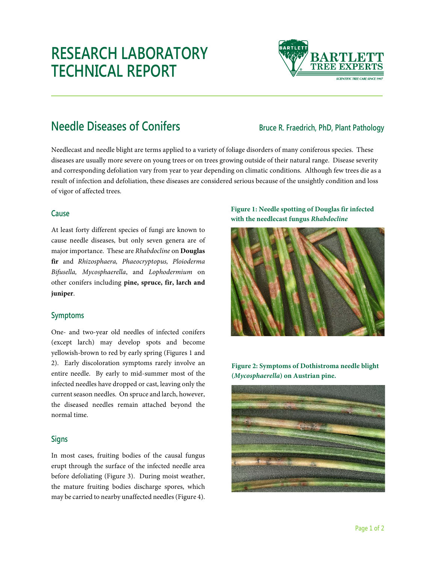# **RESEARCH LABORATORY TECHNICAL REPORT**



## **Needle Diseases of Conifers Bruce R. Fraedrich, PhD, Plant Pathology**

Needlecast and needle blight are terms applied to a variety of foliage disorders of many coniferous species. These diseases are usually more severe on young trees or on trees growing outside of their natural range. Disease severity and corresponding defoliation vary from year to year depending on climatic conditions. Although few trees die as a result of infection and defoliation, these diseases are considered serious because of the unsightly condition and loss of vigor of affected trees.

#### **Cause**

At least forty different species of fungi are known to cause needle diseases, but only seven genera are of major importance. These are *Rhabdocline* on **Douglas fir** and *Rhizosphaera, Phaeocryptopus, Ploioderma Bifusella, Mycosphaerella*, and *Lophodermium* on other conifers including **pine, spruce, fir, larch and juniper**.

#### **Symptoms**

One- and two-year old needles of infected conifers (except larch) may develop spots and become yellowish-brown to red by early spring (Figures 1 and 2). Early discoloration symptoms rarely involve an entire needle. By early to mid-summer most of the infected needles have dropped or cast, leaving only the current season needles. On spruce and larch, however, the diseased needles remain attached beyond the normal time.

### **Signs**

In most cases, fruiting bodies of the causal fungus erupt through the surface of the infected needle area before defoliating (Figure 3). During moist weather, the mature fruiting bodies discharge spores, which may be carried to nearby unaffected needles (Figure 4).

#### **Figure 1: Needle spotting of Douglas fir infected with the needlecast fungus** *Rhabdocline*



**Figure 2: Symptoms of Dothistroma needle blight (***Mycosphaerella***) on Austrian pine.**